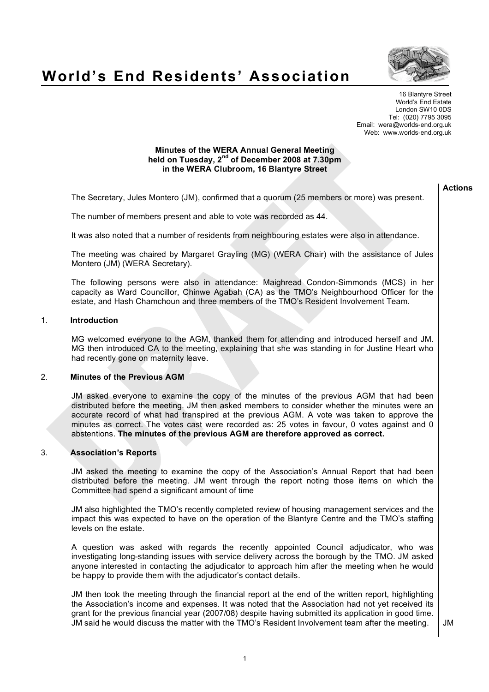

# **World's End Residents' Association**

16 Blantyre Street World's End Estate London SW10 0DS Tel: (020) 7795 3095 Email: wera@worlds-end.org.uk Web: www.worlds-end.org.uk

# **Minutes of the WERA Annual General Meeting held on Tuesday, 2nd of December 2008 at 7.30pm in the WERA Clubroom, 16 Blantyre Street**

The Secretary, Jules Montero (JM), confirmed that a quorum (25 members or more) was present.

The number of members present and able to vote was recorded as 44.

It was also noted that a number of residents from neighbouring estates were also in attendance.

The meeting was chaired by Margaret Grayling (MG) (WERA Chair) with the assistance of Jules Montero (JM) (WERA Secretary).

The following persons were also in attendance: Maighread Condon-Simmonds (MCS) in her capacity as Ward Councillor, Chinwe Agabah (CA) as the TMO's Neighbourhood Officer for the estate, and Hash Chamchoun and three members of the TMO's Resident Involvement Team.

# 1. **Introduction**

MG welcomed everyone to the AGM, thanked them for attending and introduced herself and JM. MG then introduced CA to the meeting, explaining that she was standing in for Justine Heart who had recently gone on maternity leave.

# 2. **Minutes of the Previous AGM**

JM asked everyone to examine the copy of the minutes of the previous AGM that had been distributed before the meeting. JM then asked members to consider whether the minutes were an accurate record of what had transpired at the previous AGM. A vote was taken to approve the minutes as correct. The votes cast were recorded as: 25 votes in favour, 0 votes against and 0 abstentions. **The minutes of the previous AGM are therefore approved as correct.**

# 3. **Association's Reports**

JM asked the meeting to examine the copy of the Association's Annual Report that had been distributed before the meeting. JM went through the report noting those items on which the Committee had spend a significant amount of time

JM also highlighted the TMO's recently completed review of housing management services and the impact this was expected to have on the operation of the Blantyre Centre and the TMO's staffing levels on the estate.

A question was asked with regards the recently appointed Council adjudicator, who was investigating long-standing issues with service delivery across the borough by the TMO. JM asked anyone interested in contacting the adjudicator to approach him after the meeting when he would be happy to provide them with the adjudicator's contact details.

JM then took the meeting through the financial report at the end of the written report, highlighting the Association's income and expenses. It was noted that the Association had not yet received its grant for the previous financial year (2007/08) despite having submitted its application in good time. JM said he would discuss the matter with the TMO's Resident Involvement team after the meeting.  $\Box$  JM

**Actions**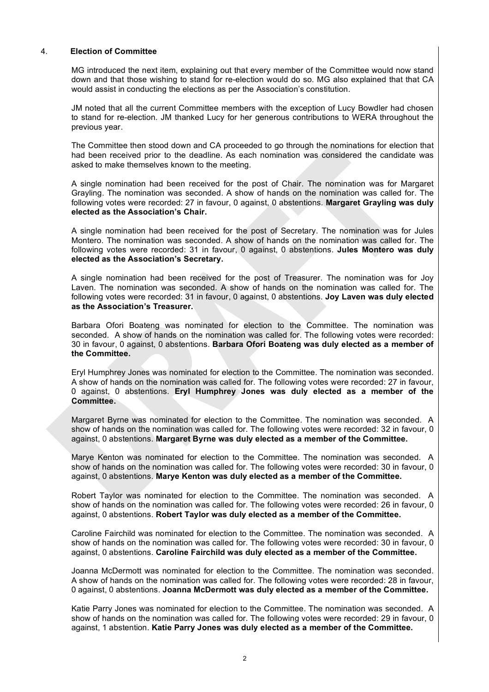# 4. **Election of Committee**

MG introduced the next item, explaining out that every member of the Committee would now stand down and that those wishing to stand for re-election would do so. MG also explained that that CA would assist in conducting the elections as per the Association's constitution.

JM noted that all the current Committee members with the exception of Lucy Bowdler had chosen to stand for re-election. JM thanked Lucy for her generous contributions to WERA throughout the previous year.

The Committee then stood down and CA proceeded to go through the nominations for election that had been received prior to the deadline. As each nomination was considered the candidate was asked to make themselves known to the meeting.

A single nomination had been received for the post of Chair. The nomination was for Margaret Grayling. The nomination was seconded. A show of hands on the nomination was called for. The following votes were recorded: 27 in favour, 0 against, 0 abstentions. **Margaret Grayling was duly elected as the Association's Chair.**

A single nomination had been received for the post of Secretary. The nomination was for Jules Montero. The nomination was seconded. A show of hands on the nomination was called for. The following votes were recorded: 31 in favour, 0 against, 0 abstentions. **Jules Montero was duly elected as the Association's Secretary.**

A single nomination had been received for the post of Treasurer. The nomination was for Joy Laven. The nomination was seconded. A show of hands on the nomination was called for. The following votes were recorded: 31 in favour, 0 against, 0 abstentions. **Joy Laven was duly elected as the Association's Treasurer.**

Barbara Ofori Boateng was nominated for election to the Committee. The nomination was seconded. A show of hands on the nomination was called for. The following votes were recorded: 30 in favour, 0 against, 0 abstentions. **Barbara Ofori Boateng was duly elected as a member of the Committee.**

Eryl Humphrey Jones was nominated for election to the Committee. The nomination was seconded. A show of hands on the nomination was called for. The following votes were recorded: 27 in favour, 0 against, 0 abstentions. **Eryl Humphrey Jones was duly elected as a member of the Committee.**

Margaret Byrne was nominated for election to the Committee. The nomination was seconded. A show of hands on the nomination was called for. The following votes were recorded: 32 in favour, 0 against, 0 abstentions. **Margaret Byrne was duly elected as a member of the Committee.**

Marye Kenton was nominated for election to the Committee. The nomination was seconded. A show of hands on the nomination was called for. The following votes were recorded: 30 in favour, 0 against, 0 abstentions. **Marye Kenton was duly elected as a member of the Committee.**

Robert Taylor was nominated for election to the Committee. The nomination was seconded. A show of hands on the nomination was called for. The following votes were recorded: 26 in favour, 0 against, 0 abstentions. **Robert Taylor was duly elected as a member of the Committee.**

Caroline Fairchild was nominated for election to the Committee. The nomination was seconded. A show of hands on the nomination was called for. The following votes were recorded: 30 in favour, 0 against, 0 abstentions. **Caroline Fairchild was duly elected as a member of the Committee.**

Joanna McDermott was nominated for election to the Committee. The nomination was seconded. A show of hands on the nomination was called for. The following votes were recorded: 28 in favour, 0 against, 0 abstentions. **Joanna McDermott was duly elected as a member of the Committee.**

Katie Parry Jones was nominated for election to the Committee. The nomination was seconded. A show of hands on the nomination was called for. The following votes were recorded: 29 in favour, 0 against, 1 abstention. **Katie Parry Jones was duly elected as a member of the Committee.**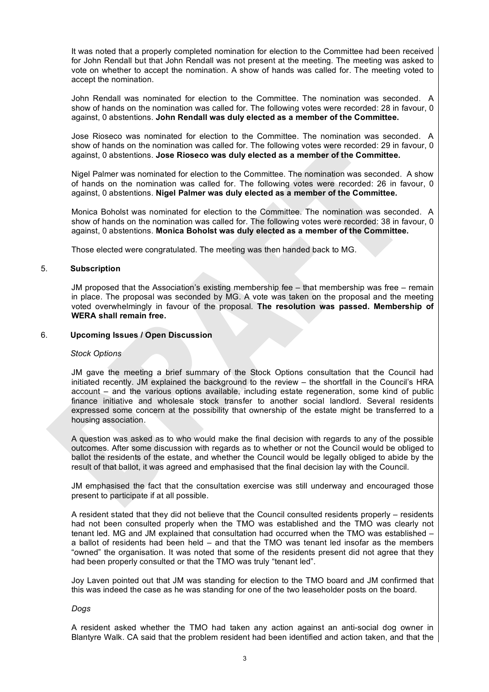It was noted that a properly completed nomination for election to the Committee had been received for John Rendall but that John Rendall was not present at the meeting. The meeting was asked to vote on whether to accept the nomination. A show of hands was called for. The meeting voted to accept the nomination.

John Rendall was nominated for election to the Committee. The nomination was seconded. A show of hands on the nomination was called for. The following votes were recorded: 28 in favour, 0 against, 0 abstentions. **John Rendall was duly elected as a member of the Committee.**

Jose Rioseco was nominated for election to the Committee. The nomination was seconded. A show of hands on the nomination was called for. The following votes were recorded: 29 in favour, 0 against, 0 abstentions. **Jose Rioseco was duly elected as a member of the Committee.**

Nigel Palmer was nominated for election to the Committee. The nomination was seconded. A show of hands on the nomination was called for. The following votes were recorded: 26 in favour, 0 against, 0 abstentions. **Nigel Palmer was duly elected as a member of the Committee.**

Monica Boholst was nominated for election to the Committee. The nomination was seconded. A show of hands on the nomination was called for. The following votes were recorded: 38 in favour, 0 against, 0 abstentions. **Monica Boholst was duly elected as a member of the Committee.**

Those elected were congratulated. The meeting was then handed back to MG.

# 5. **Subscription**

JM proposed that the Association's existing membership fee – that membership was free – remain in place. The proposal was seconded by MG. A vote was taken on the proposal and the meeting voted overwhelmingly in favour of the proposal. **The resolution was passed. Membership of WERA shall remain free.**

# 6. **Upcoming Issues / Open Discussion**

# *Stock Options*

JM gave the meeting a brief summary of the Stock Options consultation that the Council had initiated recently. JM explained the background to the review – the shortfall in the Council's HRA account – and the various options available, including estate regeneration, some kind of public finance initiative and wholesale stock transfer to another social landlord. Several residents expressed some concern at the possibility that ownership of the estate might be transferred to a housing association.

A question was asked as to who would make the final decision with regards to any of the possible outcomes. After some discussion with regards as to whether or not the Council would be obliged to ballot the residents of the estate, and whether the Council would be legally obliged to abide by the result of that ballot, it was agreed and emphasised that the final decision lay with the Council.

JM emphasised the fact that the consultation exercise was still underway and encouraged those present to participate if at all possible.

A resident stated that they did not believe that the Council consulted residents properly – residents had not been consulted properly when the TMO was established and the TMO was clearly not tenant led. MG and JM explained that consultation had occurred when the TMO was established – a ballot of residents had been held – and that the TMO was tenant led insofar as the members "owned" the organisation. It was noted that some of the residents present did not agree that they had been properly consulted or that the TMO was truly "tenant led".

Joy Laven pointed out that JM was standing for election to the TMO board and JM confirmed that this was indeed the case as he was standing for one of the two leaseholder posts on the board.

# *Dogs*

A resident asked whether the TMO had taken any action against an anti-social dog owner in Blantyre Walk. CA said that the problem resident had been identified and action taken, and that the